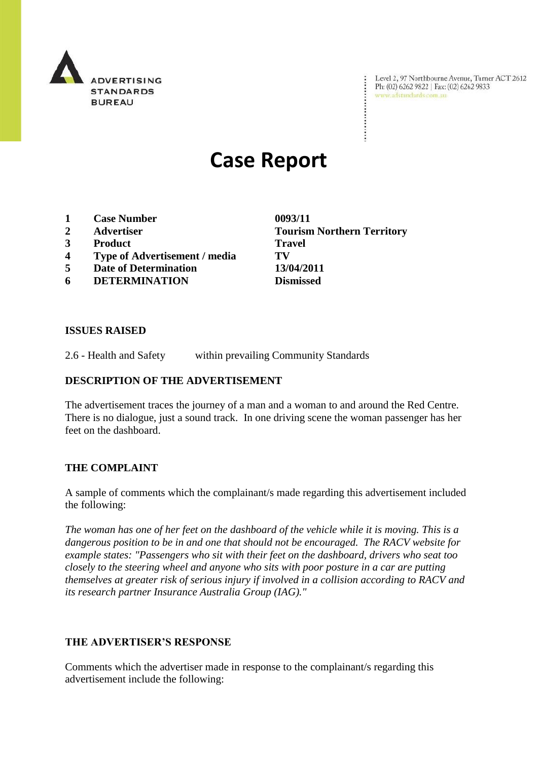

Level 2, 97 Northbourne Avenue, Turner ACT 2612 Level 2, 97 Northbourne Avenue, Turne<br>Ph: (02) 6262 9822 | Fax: (02) 6262 9833 www.adstandards.com.au

# **Case Report**

- **1 Case Number 0093/11**
- 
- **3 Product Travel**
- **4 Type of Advertisement / media TV**
- **5 Date of Determination 13/04/2011**
- **6 DETERMINATION Dismissed**

**2 Advertiser Tourism Northern Territory**

 $\ddot{\cdot}$ 

## **ISSUES RAISED**

2.6 - Health and Safety within prevailing Community Standards

## **DESCRIPTION OF THE ADVERTISEMENT**

The advertisement traces the journey of a man and a woman to and around the Red Centre. There is no dialogue, just a sound track. In one driving scene the woman passenger has her feet on the dashboard.

## **THE COMPLAINT**

A sample of comments which the complainant/s made regarding this advertisement included the following:

*The woman has one of her feet on the dashboard of the vehicle while it is moving. This is a dangerous position to be in and one that should not be encouraged. The RACV website for example states: "Passengers who sit with their feet on the dashboard, drivers who seat too closely to the steering wheel and anyone who sits with poor posture in a car are putting themselves at greater risk of serious injury if involved in a collision according to RACV and its research partner Insurance Australia Group (IAG)."*

#### **THE ADVERTISER'S RESPONSE**

Comments which the advertiser made in response to the complainant/s regarding this advertisement include the following: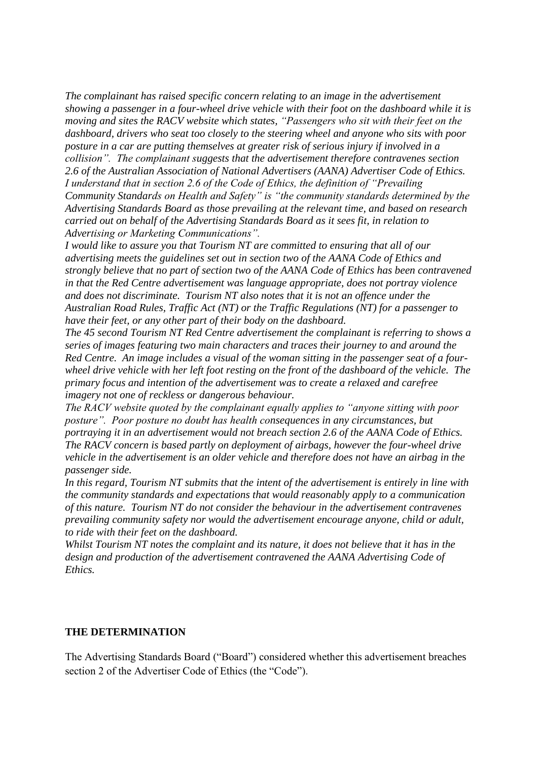*The complainant has raised specific concern relating to an image in the advertisement showing a passenger in a four-wheel drive vehicle with their foot on the dashboard while it is moving and sites the RACV website which states, "Passengers who sit with their feet on the dashboard, drivers who seat too closely to the steering wheel and anyone who sits with poor posture in a car are putting themselves at greater risk of serious injury if involved in a collision". The complainant suggests that the advertisement therefore contravenes section 2.6 of the Australian Association of National Advertisers (AANA) Advertiser Code of Ethics. I understand that in section 2.6 of the Code of Ethics, the definition of "Prevailing Community Standards on Health and Safety" is "the community standards determined by the Advertising Standards Board as those prevailing at the relevant time, and based on research carried out on behalf of the Advertising Standards Board as it sees fit, in relation to Advertising or Marketing Communications".*

*I would like to assure you that Tourism NT are committed to ensuring that all of our advertising meets the guidelines set out in section two of the AANA Code of Ethics and strongly believe that no part of section two of the AANA Code of Ethics has been contravened in that the Red Centre advertisement was language appropriate, does not portray violence and does not discriminate. Tourism NT also notes that it is not an offence under the Australian Road Rules, Traffic Act (NT) or the Traffic Regulations (NT) for a passenger to have their feet, or any other part of their body on the dashboard.*

*The 45 second Tourism NT Red Centre advertisement the complainant is referring to shows a series of images featuring two main characters and traces their journey to and around the Red Centre. An image includes a visual of the woman sitting in the passenger seat of a fourwheel drive vehicle with her left foot resting on the front of the dashboard of the vehicle. The primary focus and intention of the advertisement was to create a relaxed and carefree imagery not one of reckless or dangerous behaviour.* 

*The RACV website quoted by the complainant equally applies to "anyone sitting with poor posture". Poor posture no doubt has health consequences in any circumstances, but portraying it in an advertisement would not breach section 2.6 of the AANA Code of Ethics. The RACV concern is based partly on deployment of airbags, however the four-wheel drive vehicle in the advertisement is an older vehicle and therefore does not have an airbag in the passenger side.* 

*In this regard, Tourism NT submits that the intent of the advertisement is entirely in line with the community standards and expectations that would reasonably apply to a communication of this nature. Tourism NT do not consider the behaviour in the advertisement contravenes prevailing community safety nor would the advertisement encourage anyone, child or adult, to ride with their feet on the dashboard.* 

*Whilst Tourism NT notes the complaint and its nature, it does not believe that it has in the design and production of the advertisement contravened the AANA Advertising Code of Ethics.*

#### **THE DETERMINATION**

The Advertising Standards Board ("Board") considered whether this advertisement breaches section 2 of the Advertiser Code of Ethics (the "Code").